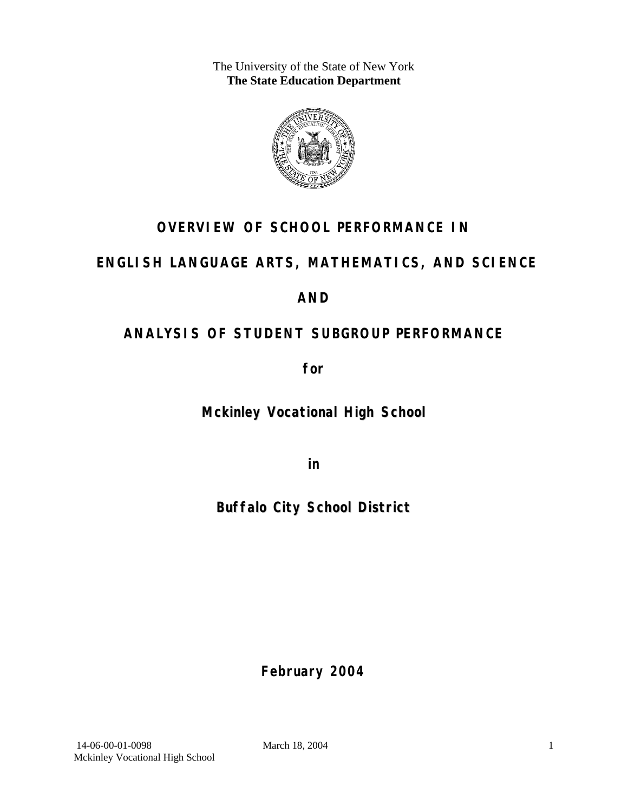The University of the State of New York **The State Education Department** 



# **OVERVIEW OF SCHOOL PERFORMANCE IN**

## **ENGLISH LANGUAGE ARTS, MATHEMATICS, AND SCIENCE**

## **AND**

# **ANALYSIS OF STUDENT SUBGROUP PERFORMANCE**

**for** 

**Mckinley Vocational High School**

**in** 

# **Buffalo City School District**

**February 2004**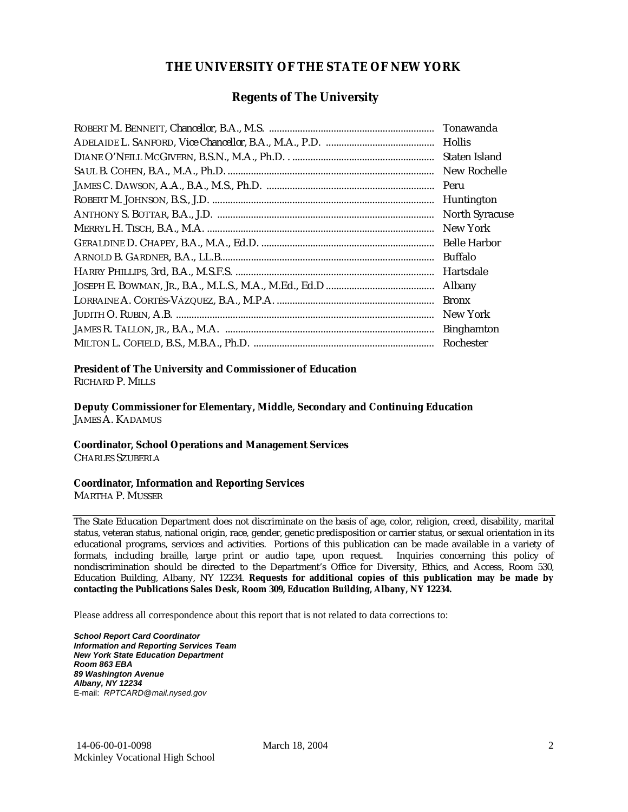#### **THE UNIVERSITY OF THE STATE OF NEW YORK**

#### **Regents of The University**

| Tonawanda             |
|-----------------------|
| <b>Hollis</b>         |
| Staten Island         |
| New Rochelle          |
| Peru                  |
| Huntington            |
| <b>North Syracuse</b> |
| New York              |
| <b>Belle Harbor</b>   |
| Buffalo               |
| Hartsdale             |
| Albany                |
| <b>Bronx</b>          |
| New York              |
| <b>Binghamton</b>     |
| Rochester             |

#### **President of The University and Commissioner of Education**

RICHARD P. MILLS

**Deputy Commissioner for Elementary, Middle, Secondary and Continuing Education**  JAMES A. KADAMUS

#### **Coordinator, School Operations and Management Services**

CHARLES SZUBERLA

#### **Coordinator, Information and Reporting Services**

MARTHA P. MUSSER

The State Education Department does not discriminate on the basis of age, color, religion, creed, disability, marital status, veteran status, national origin, race, gender, genetic predisposition or carrier status, or sexual orientation in its educational programs, services and activities. Portions of this publication can be made available in a variety of formats, including braille, large print or audio tape, upon request. Inquiries concerning this policy of nondiscrimination should be directed to the Department's Office for Diversity, Ethics, and Access, Room 530, Education Building, Albany, NY 12234. **Requests for additional copies of this publication may be made by contacting the Publications Sales Desk, Room 309, Education Building, Albany, NY 12234.** 

Please address all correspondence about this report that is not related to data corrections to:

*School Report Card Coordinator Information and Reporting Services Team New York State Education Department Room 863 EBA 89 Washington Avenue Albany, NY 12234*  E-mail: *RPTCARD@mail.nysed.gov*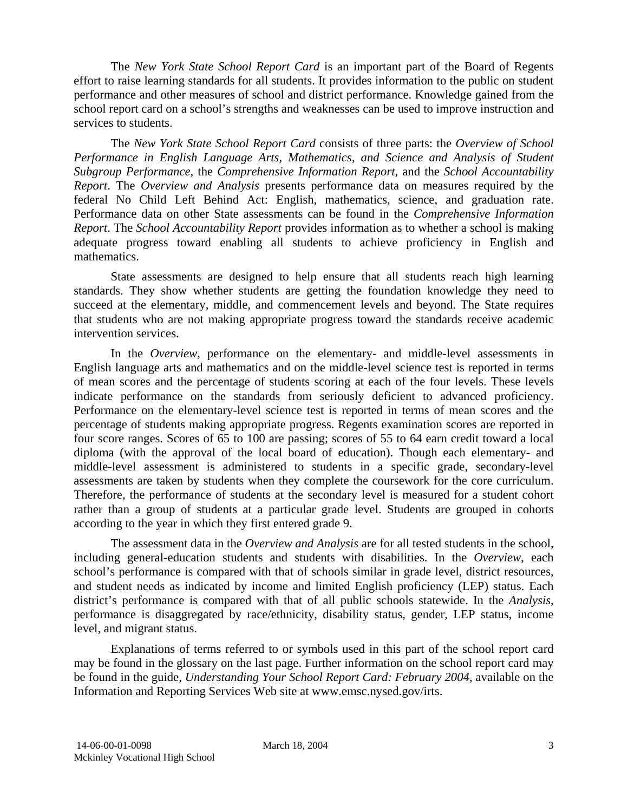The *New York State School Report Card* is an important part of the Board of Regents effort to raise learning standards for all students. It provides information to the public on student performance and other measures of school and district performance. Knowledge gained from the school report card on a school's strengths and weaknesses can be used to improve instruction and services to students.

The *New York State School Report Card* consists of three parts: the *Overview of School Performance in English Language Arts, Mathematics, and Science and Analysis of Student Subgroup Performance,* the *Comprehensive Information Report,* and the *School Accountability Report*. The *Overview and Analysis* presents performance data on measures required by the federal No Child Left Behind Act: English, mathematics, science, and graduation rate. Performance data on other State assessments can be found in the *Comprehensive Information Report*. The *School Accountability Report* provides information as to whether a school is making adequate progress toward enabling all students to achieve proficiency in English and mathematics.

State assessments are designed to help ensure that all students reach high learning standards. They show whether students are getting the foundation knowledge they need to succeed at the elementary, middle, and commencement levels and beyond. The State requires that students who are not making appropriate progress toward the standards receive academic intervention services.

In the *Overview*, performance on the elementary- and middle-level assessments in English language arts and mathematics and on the middle-level science test is reported in terms of mean scores and the percentage of students scoring at each of the four levels. These levels indicate performance on the standards from seriously deficient to advanced proficiency. Performance on the elementary-level science test is reported in terms of mean scores and the percentage of students making appropriate progress. Regents examination scores are reported in four score ranges. Scores of 65 to 100 are passing; scores of 55 to 64 earn credit toward a local diploma (with the approval of the local board of education). Though each elementary- and middle-level assessment is administered to students in a specific grade, secondary-level assessments are taken by students when they complete the coursework for the core curriculum. Therefore, the performance of students at the secondary level is measured for a student cohort rather than a group of students at a particular grade level. Students are grouped in cohorts according to the year in which they first entered grade 9.

The assessment data in the *Overview and Analysis* are for all tested students in the school, including general-education students and students with disabilities. In the *Overview*, each school's performance is compared with that of schools similar in grade level, district resources, and student needs as indicated by income and limited English proficiency (LEP) status. Each district's performance is compared with that of all public schools statewide. In the *Analysis*, performance is disaggregated by race/ethnicity, disability status, gender, LEP status, income level, and migrant status.

Explanations of terms referred to or symbols used in this part of the school report card may be found in the glossary on the last page. Further information on the school report card may be found in the guide, *Understanding Your School Report Card: February 2004*, available on the Information and Reporting Services Web site at www.emsc.nysed.gov/irts.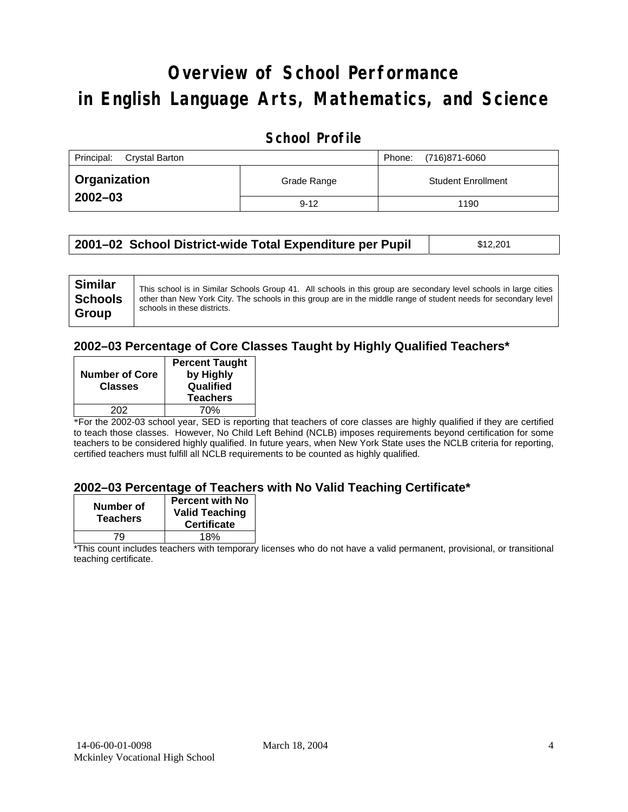# **Overview of School Performance in English Language Arts, Mathematics, and Science**

### **School Profile**

| Principal:<br>Crystal Barton |             | Phone: | (716)871-6060             |
|------------------------------|-------------|--------|---------------------------|
| Organization                 | Grade Range |        | <b>Student Enrollment</b> |
| $2002 - 03$                  | $9 - 12$    |        | 1190                      |

| 2001-02 School District-wide Total Expenditure per Pupil | \$12,201 |
|----------------------------------------------------------|----------|
|----------------------------------------------------------|----------|

#### **2002–03 Percentage of Core Classes Taught by Highly Qualified Teachers\***

| <b>Number of Core</b><br><b>Classes</b> | <b>Percent Taught</b><br>by Highly<br>Qualified<br><b>Teachers</b> |
|-----------------------------------------|--------------------------------------------------------------------|
|                                         |                                                                    |
| 202                                     | 70%                                                                |

\*For the 2002-03 school year, SED is reporting that teachers of core classes are highly qualified if they are certified to teach those classes. However, No Child Left Behind (NCLB) imposes requirements beyond certification for some teachers to be considered highly qualified. In future years, when New York State uses the NCLB criteria for reporting, certified teachers must fulfill all NCLB requirements to be counted as highly qualified.

#### **2002–03 Percentage of Teachers with No Valid Teaching Certificate\***

| Number of<br><b>Teachers</b> | <b>Percent with No</b><br><b>Valid Teaching</b><br><b>Certificate</b> |
|------------------------------|-----------------------------------------------------------------------|
| 79                           | 18%                                                                   |

\*This count includes teachers with temporary licenses who do not have a valid permanent, provisional, or transitional teaching certificate.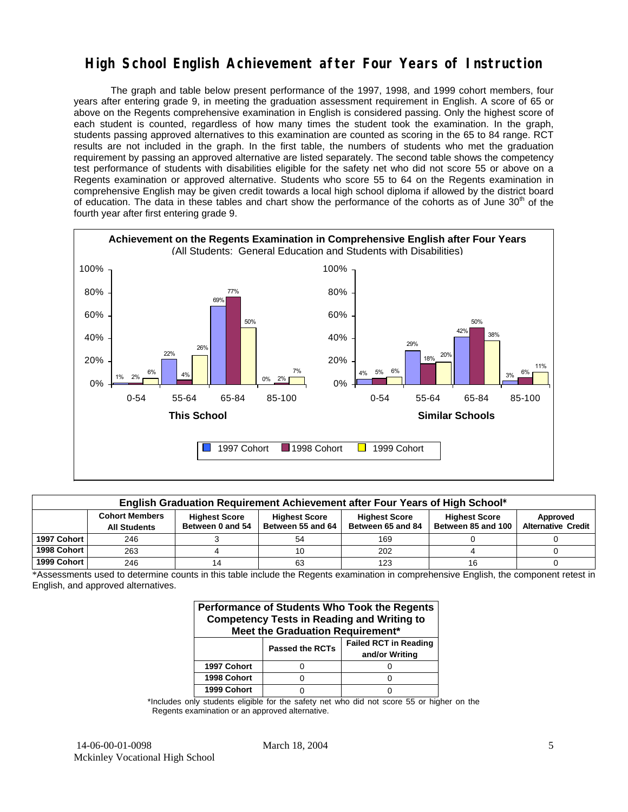### **High School English Achievement after Four Years of Instruction**

The graph and table below present performance of the 1997, 1998, and 1999 cohort members, four years after entering grade 9, in meeting the graduation assessment requirement in English. A score of 65 or above on the Regents comprehensive examination in English is considered passing. Only the highest score of each student is counted, regardless of how many times the student took the examination. In the graph, students passing approved alternatives to this examination are counted as scoring in the 65 to 84 range. RCT results are not included in the graph. In the first table, the numbers of students who met the graduation requirement by passing an approved alternative are listed separately. The second table shows the competency test performance of students with disabilities eligible for the safety net who did not score 55 or above on a Regents examination or approved alternative. Students who score 55 to 64 on the Regents examination in comprehensive English may be given credit towards a local high school diploma if allowed by the district board of education. The data in these tables and chart show the performance of the cohorts as of June 30<sup>th</sup> of the fourth year after first entering grade 9.



| English Graduation Requirement Achievement after Four Years of High School* |                                                                                                                                                                                                                                                                           |  |    |     |    |  |  |  |  |
|-----------------------------------------------------------------------------|---------------------------------------------------------------------------------------------------------------------------------------------------------------------------------------------------------------------------------------------------------------------------|--|----|-----|----|--|--|--|--|
|                                                                             | <b>Cohort Members</b><br><b>Highest Score</b><br><b>Highest Score</b><br><b>Highest Score</b><br><b>Highest Score</b><br>Approved<br>Between 55 and 64<br>Between 85 and 100<br>Between 65 and 84<br><b>Alternative Credit</b><br>Between 0 and 54<br><b>All Students</b> |  |    |     |    |  |  |  |  |
| 1997 Cohort                                                                 | 246                                                                                                                                                                                                                                                                       |  | 54 | 169 |    |  |  |  |  |
| 1998 Cohort                                                                 | 263                                                                                                                                                                                                                                                                       |  |    | 202 |    |  |  |  |  |
| 1999 Cohort                                                                 | 246                                                                                                                                                                                                                                                                       |  | 63 | 123 | 16 |  |  |  |  |

\*Assessments used to determine counts in this table include the Regents examination in comprehensive English, the component retest in English, and approved alternatives.

| Performance of Students Who Took the Regents<br><b>Competency Tests in Reading and Writing to</b><br>Meet the Graduation Requirement* |                        |                                                |  |  |  |  |
|---------------------------------------------------------------------------------------------------------------------------------------|------------------------|------------------------------------------------|--|--|--|--|
|                                                                                                                                       | <b>Passed the RCTs</b> | <b>Failed RCT in Reading</b><br>and/or Writing |  |  |  |  |
| 1997 Cohort                                                                                                                           |                        |                                                |  |  |  |  |
| 1998 Cohort                                                                                                                           |                        |                                                |  |  |  |  |
| 1999 Cohort                                                                                                                           |                        |                                                |  |  |  |  |

\*Includes only students eligible for the safety net who did not score 55 or higher on the Regents examination or an approved alternative.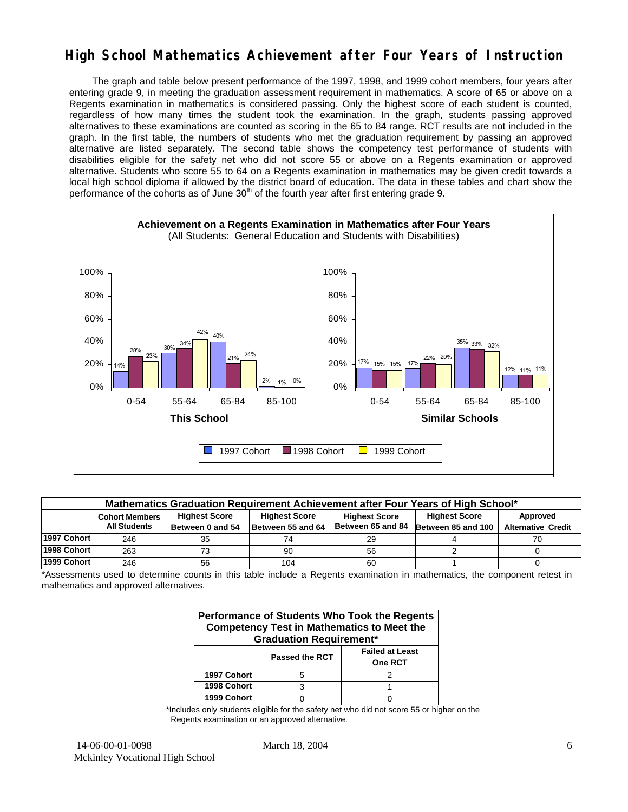### **High School Mathematics Achievement after Four Years of Instruction**

The graph and table below present performance of the 1997, 1998, and 1999 cohort members, four years after entering grade 9, in meeting the graduation assessment requirement in mathematics. A score of 65 or above on a Regents examination in mathematics is considered passing. Only the highest score of each student is counted, regardless of how many times the student took the examination. In the graph, students passing approved alternatives to these examinations are counted as scoring in the 65 to 84 range. RCT results are not included in the graph. In the first table, the numbers of students who met the graduation requirement by passing an approved alternative are listed separately. The second table shows the competency test performance of students with disabilities eligible for the safety net who did not score 55 or above on a Regents examination or approved alternative. Students who score 55 to 64 on a Regents examination in mathematics may be given credit towards a local high school diploma if allowed by the district board of education. The data in these tables and chart show the performance of the cohorts as of June  $30<sup>th</sup>$  of the fourth year after first entering grade 9.



| Mathematics Graduation Requirement Achievement after Four Years of High School* |                                                                                                                                   |                  |                   |                   |                    |                           |  |  |  |
|---------------------------------------------------------------------------------|-----------------------------------------------------------------------------------------------------------------------------------|------------------|-------------------|-------------------|--------------------|---------------------------|--|--|--|
|                                                                                 | <b>Highest Score</b><br><b>Highest Score</b><br><b>Highest Score</b><br>Approved<br><b>Cohort Members</b><br><b>Highest Score</b> |                  |                   |                   |                    |                           |  |  |  |
|                                                                                 | <b>All Students</b>                                                                                                               | Between 0 and 54 | Between 55 and 64 | Between 65 and 84 | Between 85 and 100 | <b>Alternative Credit</b> |  |  |  |
| 1997 Cohort                                                                     | 246                                                                                                                               | 35               |                   | 29                |                    | 70                        |  |  |  |
| 1998 Cohort                                                                     | 263                                                                                                                               | 73               | 90                | 56                |                    |                           |  |  |  |
| 1999 Cohort                                                                     | 246                                                                                                                               | 56               | 104               | 60                |                    |                           |  |  |  |

\*Assessments used to determine counts in this table include a Regents examination in mathematics, the component retest in mathematics and approved alternatives.

| Performance of Students Who Took the Regents<br><b>Competency Test in Mathematics to Meet the</b><br><b>Graduation Requirement*</b> |                                                            |  |  |  |  |  |
|-------------------------------------------------------------------------------------------------------------------------------------|------------------------------------------------------------|--|--|--|--|--|
|                                                                                                                                     | <b>Failed at Least</b><br><b>Passed the RCT</b><br>One RCT |  |  |  |  |  |
| 1997 Cohort                                                                                                                         |                                                            |  |  |  |  |  |
| 1998 Cohort                                                                                                                         |                                                            |  |  |  |  |  |
| 1999 Cohort                                                                                                                         |                                                            |  |  |  |  |  |

\*Includes only students eligible for the safety net who did not score 55 or higher on the Regents examination or an approved alternative.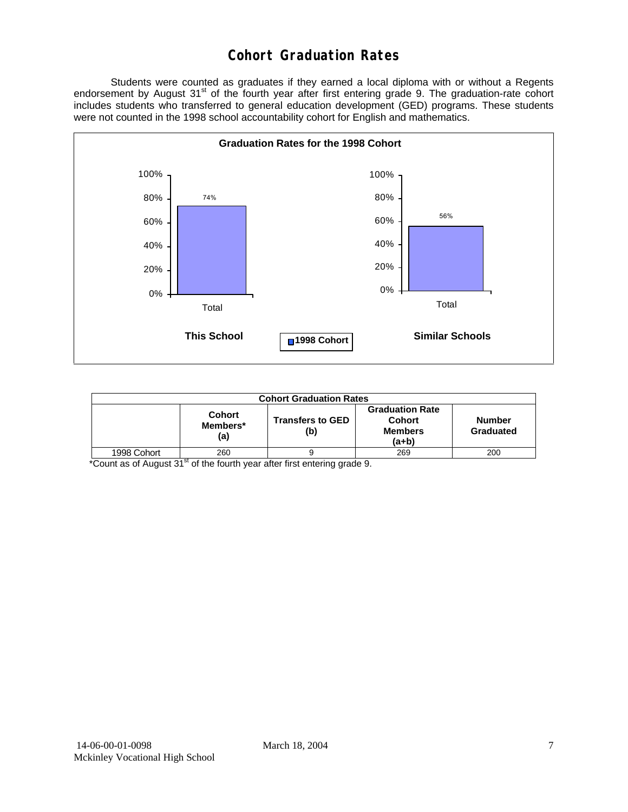### **Cohort Graduation Rates**

 Students were counted as graduates if they earned a local diploma with or without a Regents endorsement by August 31<sup>st</sup> of the fourth year after first entering grade 9. The graduation-rate cohort includes students who transferred to general education development (GED) programs. These students were not counted in the 1998 school accountability cohort for English and mathematics.



| <b>Cohort Graduation Rates</b> |                                  |                                |                                                             |                            |  |  |
|--------------------------------|----------------------------------|--------------------------------|-------------------------------------------------------------|----------------------------|--|--|
|                                | <b>Cohort</b><br>Members*<br>(a) | <b>Transfers to GED</b><br>(b) | <b>Graduation Rate</b><br>Cohort<br><b>Members</b><br>(a+b) | <b>Number</b><br>Graduated |  |  |
| 1998 Cohort                    | 260                              |                                | 269                                                         | 200                        |  |  |

\*Count as of August 31<sup>st</sup> of the fourth year after first entering grade 9.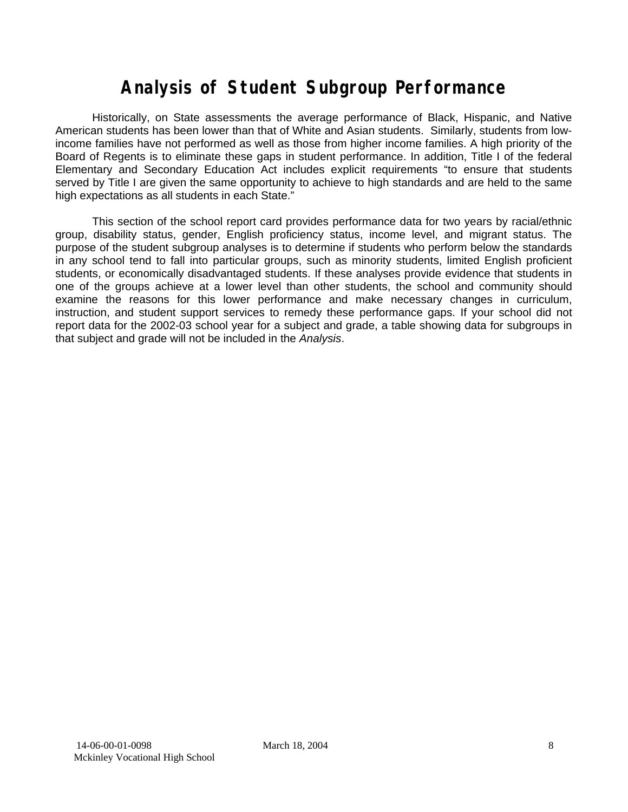# **Analysis of Student Subgroup Performance**

Historically, on State assessments the average performance of Black, Hispanic, and Native American students has been lower than that of White and Asian students. Similarly, students from lowincome families have not performed as well as those from higher income families. A high priority of the Board of Regents is to eliminate these gaps in student performance. In addition, Title I of the federal Elementary and Secondary Education Act includes explicit requirements "to ensure that students served by Title I are given the same opportunity to achieve to high standards and are held to the same high expectations as all students in each State."

This section of the school report card provides performance data for two years by racial/ethnic group, disability status, gender, English proficiency status, income level, and migrant status. The purpose of the student subgroup analyses is to determine if students who perform below the standards in any school tend to fall into particular groups, such as minority students, limited English proficient students, or economically disadvantaged students. If these analyses provide evidence that students in one of the groups achieve at a lower level than other students, the school and community should examine the reasons for this lower performance and make necessary changes in curriculum, instruction, and student support services to remedy these performance gaps. If your school did not report data for the 2002-03 school year for a subject and grade, a table showing data for subgroups in that subject and grade will not be included in the *Analysis*.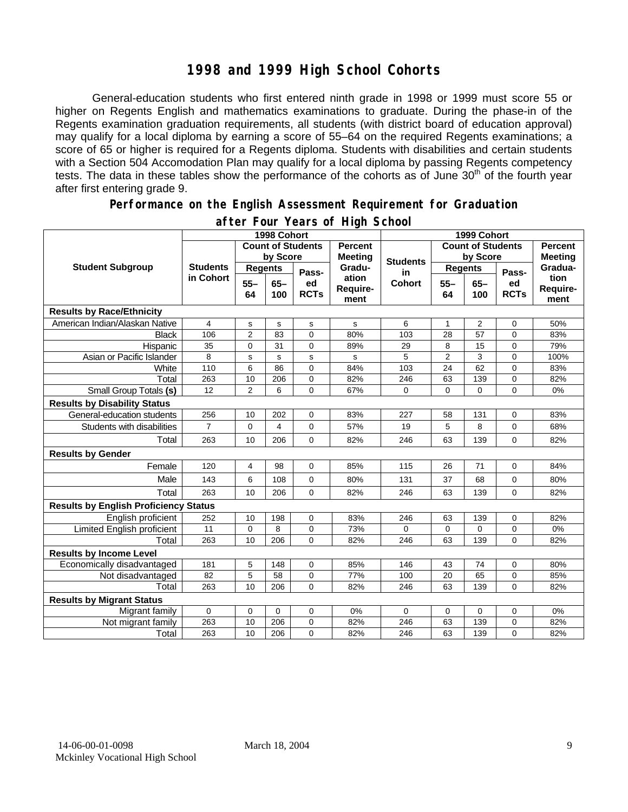### **1998 and 1999 High School Cohorts**

General-education students who first entered ninth grade in 1998 or 1999 must score 55 or higher on Regents English and mathematics examinations to graduate. During the phase-in of the Regents examination graduation requirements, all students (with district board of education approval) may qualify for a local diploma by earning a score of 55–64 on the required Regents examinations; a score of 65 or higher is required for a Regents diploma. Students with disabilities and certain students with a Section 504 Accomodation Plan may qualify for a local diploma by passing Regents competency tests. The data in these tables show the performance of the cohorts as of June 30<sup>th</sup> of the fourth year after first entering grade 9.

#### **Performance on the English Assessment Requirement for Graduation**

|                                              | 1998 Cohort     |                                      |              |                   | 1999 Cohort               |                          |                |                                  |                   |                          |
|----------------------------------------------|-----------------|--------------------------------------|--------------|-------------------|---------------------------|--------------------------|----------------|----------------------------------|-------------------|--------------------------|
|                                              |                 | <b>Count of Students</b><br>by Score |              | <b>Percent</b>    |                           | <b>Count of Students</b> |                | <b>Percent</b><br><b>Meeting</b> |                   |                          |
| <b>Student Subgroup</b>                      |                 |                                      |              | <b>Meeting</b>    | <b>Students</b>           | by Score                 |                |                                  |                   |                          |
|                                              | <b>Students</b> | <b>Regents</b>                       |              | Pass-             | Gradu-                    | in                       | <b>Regents</b> |                                  | Pass-             | Gradua-                  |
|                                              | in Cohort       | $55 -$<br>64                         | $65-$<br>100 | ed<br><b>RCTs</b> | ation<br>Require-<br>ment | <b>Cohort</b>            | $55 -$<br>64   | $65 -$<br>100                    | ed<br><b>RCTs</b> | tion<br>Require-<br>ment |
| <b>Results by Race/Ethnicity</b>             |                 |                                      |              |                   |                           |                          |                |                                  |                   |                          |
| American Indian/Alaskan Native               | 4               | s                                    | s            | s                 | s                         | 6                        | $\mathbf{1}$   | $\overline{2}$                   | $\Omega$          | 50%                      |
| <b>Black</b>                                 | 106             | 2                                    | 83           | $\Omega$          | 80%                       | 103                      | 28             | 57                               | $\Omega$          | 83%                      |
| Hispanic                                     | 35              | 0                                    | 31           | $\Omega$          | 89%                       | 29                       | 8              | 15                               | 0                 | 79%                      |
| Asian or Pacific Islander                    | 8               | s                                    | s            | $\mathbf s$       | s                         | 5                        | $\overline{2}$ | 3                                | $\mathbf 0$       | 100%                     |
| White                                        | 110             | 6                                    | 86           | $\Omega$          | 84%                       | 103                      | 24             | 62                               | $\mathbf 0$       | 83%                      |
| Total                                        | 263             | 10                                   | 206          | 0                 | 82%                       | 246                      | 63             | 139                              | $\mathbf 0$       | 82%                      |
| Small Group Totals (s)                       | 12              | $\overline{2}$                       | 6            | $\Omega$          | 67%                       | $\Omega$                 | $\Omega$       | $\Omega$                         | $\overline{0}$    | 0%                       |
| <b>Results by Disability Status</b>          |                 |                                      |              |                   |                           |                          |                |                                  |                   |                          |
| General-education students                   | 256             | 10                                   | 202          | 0                 | 83%                       | 227                      | 58             | 131                              | 0                 | 83%                      |
| Students with disabilities                   | $\overline{7}$  | 0                                    | 4            | 0                 | 57%                       | 19                       | 5              | 8                                | $\mathbf 0$       | 68%                      |
| Total                                        | 263             | 10                                   | 206          | $\mathbf 0$       | 82%                       | 246                      | 63             | 139                              | 0                 | 82%                      |
| <b>Results by Gender</b>                     |                 |                                      |              |                   |                           |                          |                |                                  |                   |                          |
| Female                                       | 120             | $\overline{4}$                       | 98           | $\Omega$          | 85%                       | 115                      | 26             | 71                               | $\Omega$          | 84%                      |
| Male                                         | 143             | 6                                    | 108          | $\Omega$          | 80%                       | 131                      | 37             | 68                               | $\Omega$          | 80%                      |
| Total                                        | 263             | 10                                   | 206          | $\Omega$          | 82%                       | 246                      | 63             | 139                              | $\Omega$          | 82%                      |
| <b>Results by English Proficiency Status</b> |                 |                                      |              |                   |                           |                          |                |                                  |                   |                          |
| English proficient                           | 252             | 10                                   | 198          | $\mathbf 0$       | 83%                       | 246                      | 63             | 139                              | $\mathbf 0$       | 82%                      |
| Limited English proficient                   | 11              | $\pmb{0}$                            | 8            | $\mathbf 0$       | 73%                       | 0                        | $\mathbf 0$    | 0                                | $\mathbf 0$       | 0%                       |
| Total                                        | 263             | 10                                   | 206          | $\Omega$          | 82%                       | 246                      | 63             | 139                              | $\Omega$          | 82%                      |
| <b>Results by Income Level</b>               |                 |                                      |              |                   |                           |                          |                |                                  |                   |                          |
| Economically disadvantaged                   | 181             | 5                                    | 148          | $\mathbf 0$       | 85%                       | 146                      | 43             | 74                               | 0                 | 80%                      |
| Not disadvantaged                            | 82              | 5                                    | 58           | $\mathbf 0$       | 77%                       | 100                      | 20             | 65                               | 0                 | 85%                      |
| Total                                        | 263             | 10                                   | 206          | $\Omega$          | 82%                       | 246                      | 63             | 139                              | $\overline{0}$    | 82%                      |
| <b>Results by Migrant Status</b>             |                 |                                      |              |                   |                           |                          |                |                                  |                   |                          |
| Migrant family                               | $\mathbf 0$     | 0                                    | 0            | $\mathbf 0$       | 0%                        | $\Omega$                 | $\mathbf 0$    | 0                                | $\mathbf 0$       | 0%                       |
| Not migrant family                           | 263             | 10                                   | 206          | 0                 | 82%                       | 246                      | 63             | 139                              | 0                 | 82%                      |
| Total                                        | 263             | 10                                   | 206          | $\mathbf 0$       | 82%                       | 246                      | 63             | 139                              | 0                 | 82%                      |

#### **after Four Years of High School**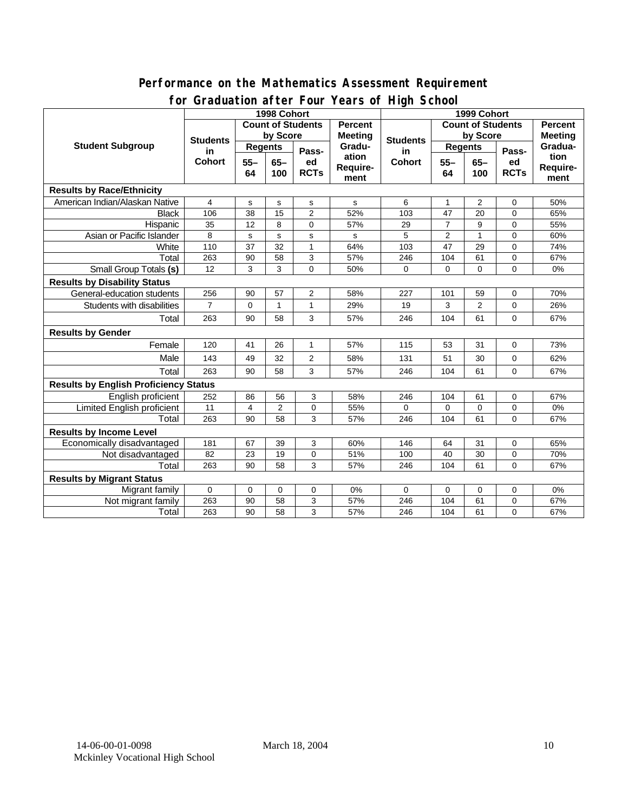#### **Performance on the Mathematics Assessment Requirement for Graduation after Four Years of High School**

|                                              | <u><b>Siddaction artor roar roars or right conco</b></u><br>1998 Cohort |                          |                |                         |                | 1999 Cohort           |                          |              |                |                                  |  |
|----------------------------------------------|-------------------------------------------------------------------------|--------------------------|----------------|-------------------------|----------------|-----------------------|--------------------------|--------------|----------------|----------------------------------|--|
| <b>Student Subgroup</b>                      |                                                                         | <b>Count of Students</b> |                |                         | <b>Percent</b> |                       | <b>Count of Students</b> |              |                | <b>Percent</b><br><b>Meeting</b> |  |
|                                              | <b>Students</b><br>in<br><b>Cohort</b>                                  | by Score                 |                | <b>Meeting</b>          |                | by Score              |                          |              |                |                                  |  |
|                                              |                                                                         | <b>Regents</b>           |                |                         | Gradu-         | <b>Students</b><br>in | <b>Regents</b>           |              |                | Gradua-                          |  |
|                                              |                                                                         | $55 -$                   | $65-$          | Pass-<br>ed             | ation          | <b>Cohort</b>         | $55 -$                   | $65-$        | Pass-<br>ed    | tion                             |  |
|                                              |                                                                         | 64                       | 100            | <b>RCTs</b>             | Require-       |                       | 64                       | 100          | <b>RCTs</b>    | Require-                         |  |
|                                              |                                                                         |                          |                |                         | ment           |                       |                          |              |                | ment                             |  |
| <b>Results by Race/Ethnicity</b>             |                                                                         |                          |                |                         |                |                       |                          |              |                |                                  |  |
| American Indian/Alaskan Native               | 4                                                                       | s                        | s              | s                       | s              | 6                     | 1                        | 2            | 0              | 50%                              |  |
| <b>Black</b>                                 | 106                                                                     | 38                       | 15             | $\overline{2}$          | 52%            | 103                   | 47                       | 20           | 0              | 65%                              |  |
| Hispanic                                     | 35                                                                      | 12                       | 8              | 0                       | 57%            | 29                    | $\overline{7}$           | 9            | 0              | 55%                              |  |
| Asian or Pacific Islander                    | 8                                                                       | $\mathbf s$              | $\mathbf S$    | $\sf s$                 | s              | 5                     | $\overline{2}$           | $\mathbf{1}$ | 0              | 60%                              |  |
| White                                        | 110                                                                     | 37                       | 32             | $\mathbf{1}$            | 64%            | 103                   | 47                       | 29           | 0              | 74%                              |  |
| Total                                        | 263                                                                     | 90                       | 58             | 3                       | 57%            | 246                   | 104                      | 61           | 0              | 67%                              |  |
| <b>Small Group Totals (s)</b>                | $\overline{12}$                                                         | 3                        | 3              | $\Omega$                | 50%            | 0                     | $\mathbf 0$              | $\mathbf 0$  | $\overline{0}$ | 0%                               |  |
| <b>Results by Disability Status</b>          |                                                                         |                          |                |                         |                |                       |                          |              |                |                                  |  |
| General-education students                   | 256                                                                     | 90                       | 57             | $\overline{\mathbf{c}}$ | 58%            | 227                   | 101                      | 59           | 0              | 70%                              |  |
| Students with disabilities                   | $\overline{7}$                                                          | $\mathbf 0$              | 1              | $\mathbf{1}$            | 29%            | 19                    | 3                        | 2            | 0              | 26%                              |  |
| Total                                        | 263                                                                     | 90                       | 58             | 3                       | 57%            | 246                   | 104                      | 61           | $\mathbf 0$    | 67%                              |  |
| <b>Results by Gender</b>                     |                                                                         |                          |                |                         |                |                       |                          |              |                |                                  |  |
| Female                                       | 120                                                                     | 41                       | 26             | $\mathbf{1}$            | 57%            | 115                   | 53                       | 31           | $\mathbf 0$    | 73%                              |  |
| Male                                         | 143                                                                     | 49                       | 32             | $\overline{2}$          | 58%            | 131                   | 51                       | 30           | 0              | 62%                              |  |
| Total                                        | 263                                                                     | 90                       | 58             | 3                       | 57%            | 246                   | 104                      | 61           | $\mathbf 0$    | 67%                              |  |
| <b>Results by English Proficiency Status</b> |                                                                         |                          |                |                         |                |                       |                          |              |                |                                  |  |
| English proficient                           | 252                                                                     | 86                       | 56             | 3                       | 58%            | 246                   | 104                      | 61           | 0              | 67%                              |  |
| Limited English proficient                   | 11                                                                      | 4                        | $\overline{2}$ | 0                       | 55%            | 0                     | $\Omega$                 | $\mathbf 0$  | 0              | 0%                               |  |
| Total                                        | 263                                                                     | 90                       | 58             | 3                       | 57%            | 246                   | 104                      | 61           | 0              | 67%                              |  |
| <b>Results by Income Level</b>               |                                                                         |                          |                |                         |                |                       |                          |              |                |                                  |  |
| Economically disadvantaged                   | 181                                                                     | 67                       | 39             | 3                       | 60%            | 146                   | 64                       | 31           | 0              | 65%                              |  |
| Not disadvantaged                            | 82                                                                      | 23                       | 19             | 0                       | 51%            | 100                   | 40                       | 30           | 0              | 70%                              |  |
| Total                                        | 263                                                                     | 90                       | 58             | 3                       | 57%            | 246                   | 104                      | 61           | $\mathbf 0$    | 67%                              |  |
| <b>Results by Migrant Status</b>             |                                                                         |                          |                |                         |                |                       |                          |              |                |                                  |  |
| Migrant family                               | 0                                                                       | $\mathbf 0$              | 0              | 0                       | 0%             | 0                     | 0                        | 0            | 0              | 0%                               |  |
| Not migrant family                           | 263                                                                     | 90                       | 58             | 3                       | 57%            | 246                   | 104                      | 61           | 0              | 67%                              |  |
| Total                                        | 263                                                                     | 90                       | 58             | 3                       | 57%            | 246                   | 104                      | 61           | 0              | 67%                              |  |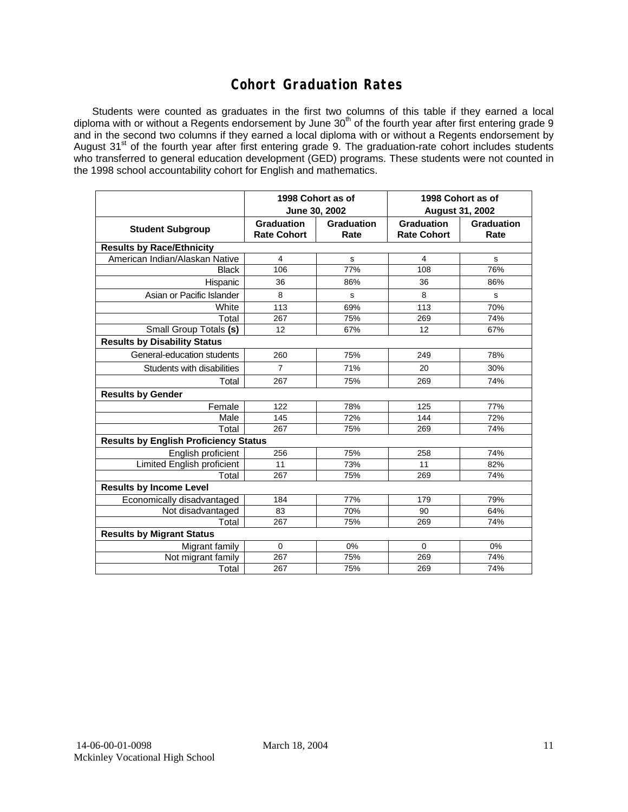### **Cohort Graduation Rates**

Students were counted as graduates in the first two columns of this table if they earned a local diploma with or without a Regents endorsement by June 30<sup>th</sup> of the fourth year after first entering grade 9 and in the second two columns if they earned a local diploma with or without a Regents endorsement by August 31<sup>st</sup> of the fourth year after first entering grade 9. The graduation-rate cohort includes students who transferred to general education development (GED) programs. These students were not counted in the 1998 school accountability cohort for English and mathematics.

|                                              |                                         | 1998 Cohort as of         | 1998 Cohort as of                       |                           |  |  |  |  |  |
|----------------------------------------------|-----------------------------------------|---------------------------|-----------------------------------------|---------------------------|--|--|--|--|--|
|                                              | June 30, 2002                           |                           | <b>August 31, 2002</b>                  |                           |  |  |  |  |  |
| <b>Student Subgroup</b>                      | <b>Graduation</b><br><b>Rate Cohort</b> | <b>Graduation</b><br>Rate | <b>Graduation</b><br><b>Rate Cohort</b> | <b>Graduation</b><br>Rate |  |  |  |  |  |
| <b>Results by Race/Ethnicity</b>             |                                         |                           |                                         |                           |  |  |  |  |  |
| American Indian/Alaskan Native               | 4                                       | s                         | 4                                       | s                         |  |  |  |  |  |
| <b>Black</b>                                 | 106                                     | 77%                       | 108                                     | 76%                       |  |  |  |  |  |
| Hispanic                                     | 36                                      | 86%                       | 36                                      | 86%                       |  |  |  |  |  |
| Asian or Pacific Islander                    | 8                                       | s                         | 8                                       | s                         |  |  |  |  |  |
| White                                        | 113                                     | 69%                       | 113                                     | 70%                       |  |  |  |  |  |
| Total                                        | 267                                     | 75%                       | 269                                     | 74%                       |  |  |  |  |  |
| Small Group Totals (s)                       | 12                                      | 67%                       | 12                                      | 67%                       |  |  |  |  |  |
| <b>Results by Disability Status</b>          |                                         |                           |                                         |                           |  |  |  |  |  |
| General-education students                   | 260                                     | 75%                       | 249                                     | 78%                       |  |  |  |  |  |
| Students with disabilities                   | $\overline{7}$                          | 71%                       | 20                                      | 30%                       |  |  |  |  |  |
| Total                                        | 267                                     | 75%                       | 269                                     | 74%                       |  |  |  |  |  |
| <b>Results by Gender</b>                     |                                         |                           |                                         |                           |  |  |  |  |  |
| Female                                       | 122                                     | 78%                       | 125                                     | 77%                       |  |  |  |  |  |
| Male                                         | 145                                     | 72%                       | 144                                     | 72%                       |  |  |  |  |  |
| Total                                        | 267                                     | 75%                       | 269                                     | 74%                       |  |  |  |  |  |
| <b>Results by English Proficiency Status</b> |                                         |                           |                                         |                           |  |  |  |  |  |
| English proficient                           | 256                                     | 75%                       | 258                                     | 74%                       |  |  |  |  |  |
| <b>Limited English proficient</b>            | 11                                      | 73%                       | 11                                      | 82%                       |  |  |  |  |  |
| Total                                        | 267                                     | 75%                       | 269                                     | 74%                       |  |  |  |  |  |
| <b>Results by Income Level</b>               |                                         |                           |                                         |                           |  |  |  |  |  |
| Economically disadvantaged                   | 184                                     | 77%                       | 179                                     | 79%                       |  |  |  |  |  |
| Not disadvantaged                            | 83                                      | 70%                       | 90                                      | 64%                       |  |  |  |  |  |
| Total                                        | 267                                     | 75%                       | 269                                     | 74%                       |  |  |  |  |  |
| <b>Results by Migrant Status</b>             |                                         |                           |                                         |                           |  |  |  |  |  |
| Migrant family                               | $\mathbf 0$                             | 0%                        | $\Omega$                                | 0%                        |  |  |  |  |  |
| Not migrant family                           | 267                                     | 75%                       | 269                                     | 74%                       |  |  |  |  |  |
| Total                                        | 267                                     | 75%                       | 269                                     | 74%                       |  |  |  |  |  |